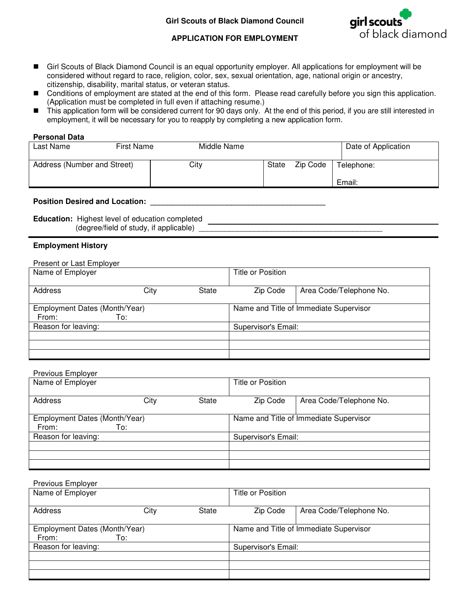

## **APPLICATION FOR EMPLOYMENT**

- Girl Scouts of Black Diamond Council is an equal opportunity employer. All applications for employment will be considered without regard to race, religion, color, sex, sexual orientation, age, national origin or ancestry, citizenship, disability, marital status, or veteran status.
- Conditions of employment are stated at the end of this form. Please read carefully before you sign this application. (Application must be completed in full even if attaching resume.)
- This application form will be considered current for 90 days only. At the end of this period, if you are still interested in employment, it will be necessary for you to reapply by completing a new application form.

#### **Personal Data**

| Last Name                   | <b>First Name</b> | Middle Name |       |          | Date of Application |
|-----------------------------|-------------------|-------------|-------|----------|---------------------|
| Address (Number and Street) |                   | City        | State | Zip Code | Telephone:          |
|                             |                   |             |       |          | Email:              |

### **Position Desired and Location: \_\_\_\_\_\_\_\_\_\_\_\_\_\_\_\_\_\_\_\_\_\_\_\_\_\_\_\_\_\_\_\_\_\_\_\_\_\_\_\_\_**

**Education:** Highest level of education completed  $(degree/field of study, if applicable)$ 

### **Employment History**

| Present or Last Employer      |      |       |                                        |                         |
|-------------------------------|------|-------|----------------------------------------|-------------------------|
| Name of Employer              |      |       | Title or Position                      |                         |
|                               |      |       |                                        |                         |
| Address                       | City | State | Zip Code                               | Area Code/Telephone No. |
| Employment Dates (Month/Year) |      |       | Name and Title of Immediate Supervisor |                         |
| From:                         | To:  |       |                                        |                         |
| Reason for leaving:           |      |       | Supervisor's Email:                    |                         |
|                               |      |       |                                        |                         |
|                               |      |       |                                        |                         |
|                               |      |       |                                        |                         |

# Previous Employer

| Name of Employer                       |      |                     | Title or Position |                                        |
|----------------------------------------|------|---------------------|-------------------|----------------------------------------|
| Address                                | City | State               | Zip Code          | Area Code/Telephone No.                |
| Employment Dates (Month/Year)<br>From: | To:  |                     |                   | Name and Title of Immediate Supervisor |
| Reason for leaving:                    |      | Supervisor's Email: |                   |                                        |
|                                        |      |                     |                   |                                        |
|                                        |      |                     |                   |                                        |

| Previous Employer             |      |              |                     |                                        |
|-------------------------------|------|--------------|---------------------|----------------------------------------|
| Name of Employer              |      |              | Title or Position   |                                        |
|                               |      |              |                     |                                        |
| Address                       | City | <b>State</b> | Zip Code            | Area Code/Telephone No.                |
|                               |      |              |                     |                                        |
| Employment Dates (Month/Year) |      |              |                     | Name and Title of Immediate Supervisor |
| From:                         | To:  |              |                     |                                        |
| Reason for leaving:           |      |              | Supervisor's Email: |                                        |
|                               |      |              |                     |                                        |
|                               |      |              |                     |                                        |
|                               |      |              |                     |                                        |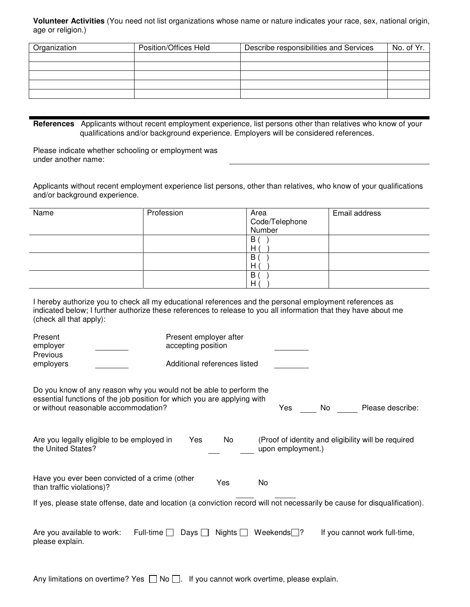**Volunteer Activities** (You need not list organizations whose name or nature indicates your race, sex, national origin, age or religion.)

| Organization | Position/Offices Held | Describe responsibilities and Services | No. of Yr. |
|--------------|-----------------------|----------------------------------------|------------|
|              |                       |                                        |            |
|              |                       |                                        |            |
|              |                       |                                        |            |
|              |                       |                                        |            |
|              |                       |                                        |            |

**References** Applicants without recent employment experience, list persons other than relatives who know of your qualifications and/or background experience. Employers will be considered references.

Please indicate whether schooling or employment was under another name:

Applicants without recent employment experience list persons, other than relatives, who know of your qualifications and/or background experience.

| Name | Profession | Area<br>Code/Telephone<br>Number | Email address |
|------|------------|----------------------------------|---------------|
|      |            | B<br>H                           |               |
|      |            | B<br>Н                           |               |
|      |            | B<br>H                           |               |

| I hereby authorize you to check all my educational references and the personal employment references as         |
|-----------------------------------------------------------------------------------------------------------------|
| indicated below; I further authorize these references to release to you all information that they have about me |
| (check all that apply):                                                                                         |

| Present<br>employer<br>Previous                                                                                                                                                       | Present employer after<br>accepting position |                                                                          |  |
|---------------------------------------------------------------------------------------------------------------------------------------------------------------------------------------|----------------------------------------------|--------------------------------------------------------------------------|--|
| employers                                                                                                                                                                             | Additional references listed                 |                                                                          |  |
| Do you know of any reason why you would not be able to perform the<br>essential functions of the job position for which you are applying with<br>or without reasonable accommodation? |                                              | Yes.<br>Please describe:<br>No                                           |  |
| Are you legally eligible to be employed in<br>the United States?                                                                                                                      | <b>Yes</b><br>No                             | (Proof of identity and eligibility will be required<br>upon employment.) |  |
| Have you ever been convicted of a crime (other<br>than traffic violations)?                                                                                                           | Yes                                          | No                                                                       |  |
| If yes, please state offense, date and location (a conviction record will not necessarily be cause for disqualification).                                                             |                                              |                                                                          |  |
| Full-time $\square$<br>Are you available to work:<br>please explain.                                                                                                                  | Days $\Box$                                  | Nights $\Box$ Weekends ?<br>If you cannot work full-time,                |  |

Any limitations on overtime? Yes  $\Box$  No  $\Box$ . If you cannot work overtime, please explain.